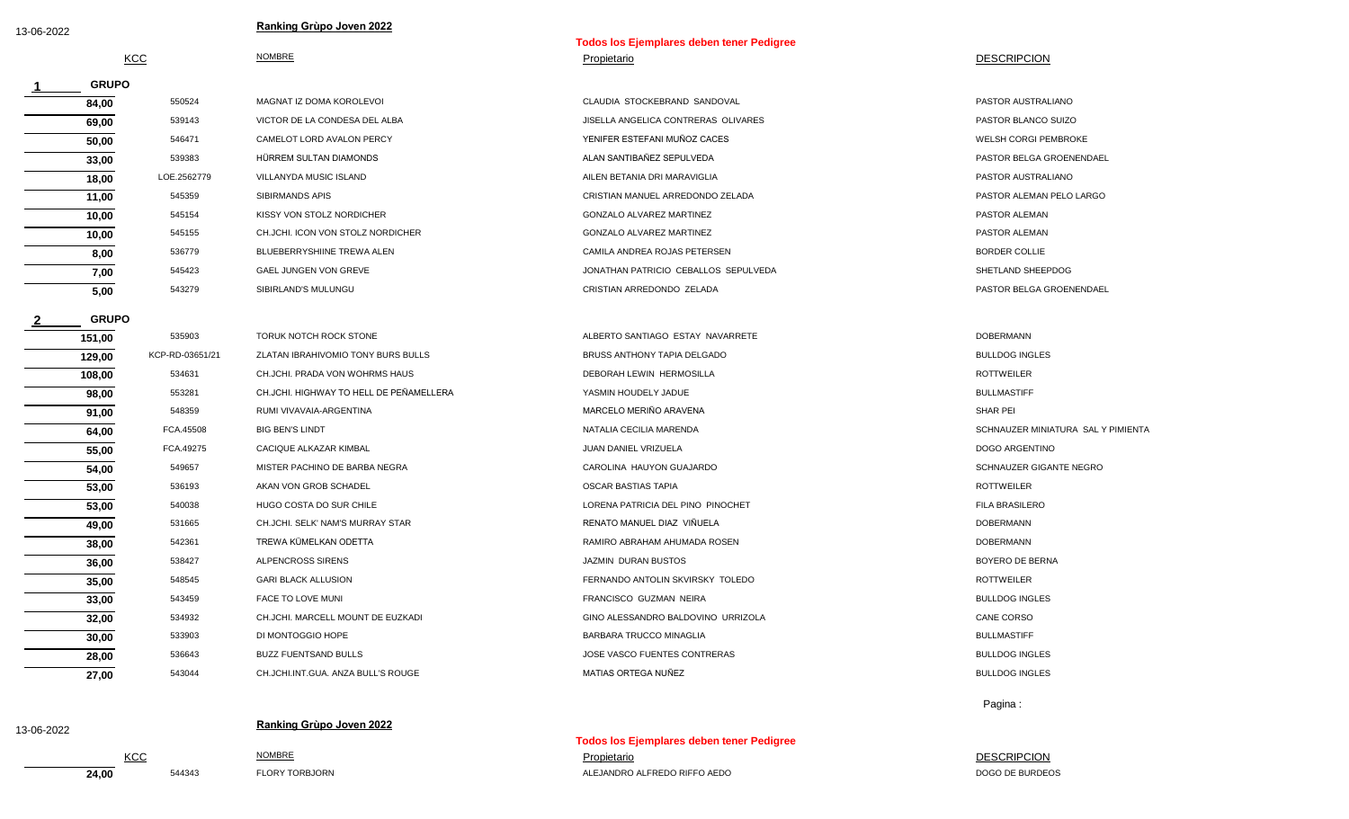**1**

**2**

**GRUPO**

**GRUPO**

## **Ranking Grùpo Joven 2022** 13-06-2022

|     |               | Todos los Ejemplares deben tener Pedigree |
|-----|---------------|-------------------------------------------|
| KCC | <b>NOMBRE</b> | Propietario                               |

| 84,00 | 550524      | MAGNAT IZ DOMA KOROLEVOL          | CLAUDIA STOCKEBRAND SANDOVAL         | PASTOR AUSTRALIANO          |
|-------|-------------|-----------------------------------|--------------------------------------|-----------------------------|
| 69,00 | 539143      | VICTOR DE LA CONDESA DEL ALBA     | JISELLA ANGELICA CONTRERAS OLIVARES  | PASTOR BLANCO SUIZO         |
| 50,00 | 546471      | CAMELOT LORD AVALON PERCY         | YENIFER ESTEFANI MUÑOZ CACES         | <b>WELSH CORGI PEMBROKE</b> |
| 33,00 | 539383      | HÜRREM SULTAN DIAMONDS            | ALAN SANTIBAÑEZ SEPULVEDA            | PASTOR BELGA GROENENDAEL    |
| 18,00 | LOE.2562779 | VILLANYDA MUSIC ISLAND            | AILEN BETANIA DRI MARAVIGLIA         | PASTOR AUSTRALIANO          |
| 11,00 | 545359      | SIBIRMANDS APIS                   | CRISTIAN MANUEL ARREDONDO ZELADA     | PASTOR ALEMAN PELO LARGO    |
| 10,00 | 545154      | KISSY VON STOLZ NORDICHER         | GONZALO ALVAREZ MARTINEZ             | PASTOR ALEMAN               |
| 10,00 | 545155      | CH.JCHI. ICON VON STOLZ NORDICHER | GONZALO ALVAREZ MARTINEZ             | PASTOR ALEMAN               |
| 8,00  | 536779      | BLUEBERRYSHIINE TREWA ALEN        | CAMILA ANDREA ROJAS PETERSEN         | <b>BORDER COLLIE</b>        |
| 7,00  | 545423      | <b>GAEL JUNGEN VON GREVE</b>      | JONATHAN PATRICIO CEBALLOS SEPULVEDA | SHETLAND SHEEPDOG           |
| 5,00  | 543279      | SIBIRLAND'S MULUNGU               | CRISTIAN ARREDONDO ZELADA            | PASTOR BELGA GROENENDAEL    |

**28,00** 536643 BUZZ FUENTSAND BULLS **BULLS ARE SERVICES ON THE SCOPENTES CONTRERAS** BULLDOG INGLES **27.00** 543044 CH.JCHI.INT.GUA. ANZA BULL'S ROUGE MATIAS ORTEGA NUÑEZ BULLDOG INGLES **32,00** 534932 CH.JCHI. MARCELL MOUNT DE EUZKADI GINO ALESSANDRO BALDOVINO URRIZOLA CANE CORSO **30,00** 533903 DI MONTOGGIO HOPE BARBARA TRUCCO MINAGLIA BULLMASTIFF **35,00** 548545 GARI BLACK ALLUSION FERNANDO ANTOLIN SKVIRSKY TOLEDO ROTTWEILER **33,00** 543459 FACE TO LOVE MUNI FRANCISCO GUZMAN NEIRA BULLDOG INGLES **38,00** 542361 TREWA KÜMELKAN ODETTA **Samud Adam Ahumada ROSEN RAMIRO ABRAHAM AHUMADA ROSEN SAMU ADA BOBERMANN 36,00** 538427 ALPENCROSS SIRENS JAZMIN DURAN BUSTOS BOYERO DE BERNA **53,00** 540038 HUGO COSTA DO SUR CHILE **A CHILE COSTA DO SUR CHILE** CHILA BRASILERO EL PINO PINOCHET **FILA BRASILERO 49,00** 531665 CH.JCHI. SELK' NAM'S MURRAY STAR RENATO MANUEL DIAZ VIÑUELA DOBERMANN DOBERMANN **54,00** 549657 MISTER PACHINO DE BARBA NEGRA CAROLINA HAUYON GUAJARDO SCHNAUZER GIGANTE NEGRO **53,00** 536193 AKAN VON GROB SCHADEL OSCAR BASTIAS TAPIA ROTTWEILER **64,00** FCA.45508 BIG BEN'S LINDT CONSUMITY CONSUMING THE SECRETA MATALIA CECILIA MARENDA SCHNAUZER MINIATURA SAL Y PIMIENTA **55,00** FCA.49275 CACIQUE ALKAZAR KIMBAL JUAN DANIEL VRIZUELA DOGO ARGENTINO **98,00** 553281 CH.JCHI. HIGHWAY TO HELL DE PEÑAMELLERA YASMIN HOUDELY JADUE **BULLMASTIFF 91,00** 548359 RUMI VIVAVAIA-ARGENTINA MARCELO MERIÑO ARAVENA MARCELO MERIÑO ARAVENA SHAR PEI **129,00** KCP-RD-03651/21 ZLATAN IBRAHIVOMIO TONY BURS BULLS BRUSS ANTHONY TAPIA DELGADO **BULLOG INGLES** BULLDOG INGLES **108,00** 534631 CH.JCHI. PRADA VON WOHRMS HAUS **DEBORAH LEWIN HERMOSILLA** DEBORAH LEWIN HERMOSILLA **151,00** 535903 TORUK NOTCH ROCK STONE **ALBERTO SANTIAGO ESTAY NAVARRETE ALBERTO SANTIAGO ESTAY NAVARRETE** 

Pagina :

DESCRIPCION

## **DESCRIPCION**

**24,00** 544343 FLORY TORBJORN ALEJANDRO ALFREDO RIFFO AEDO DOGO DE BURDEOS KCC Propietario **NOMBRE** And **Propietario** Propietario **Propietario** 

**Todos los Ejemplares deben tener Pedigree**

**Ranking Grùpo Joven 2022** 13-06-2022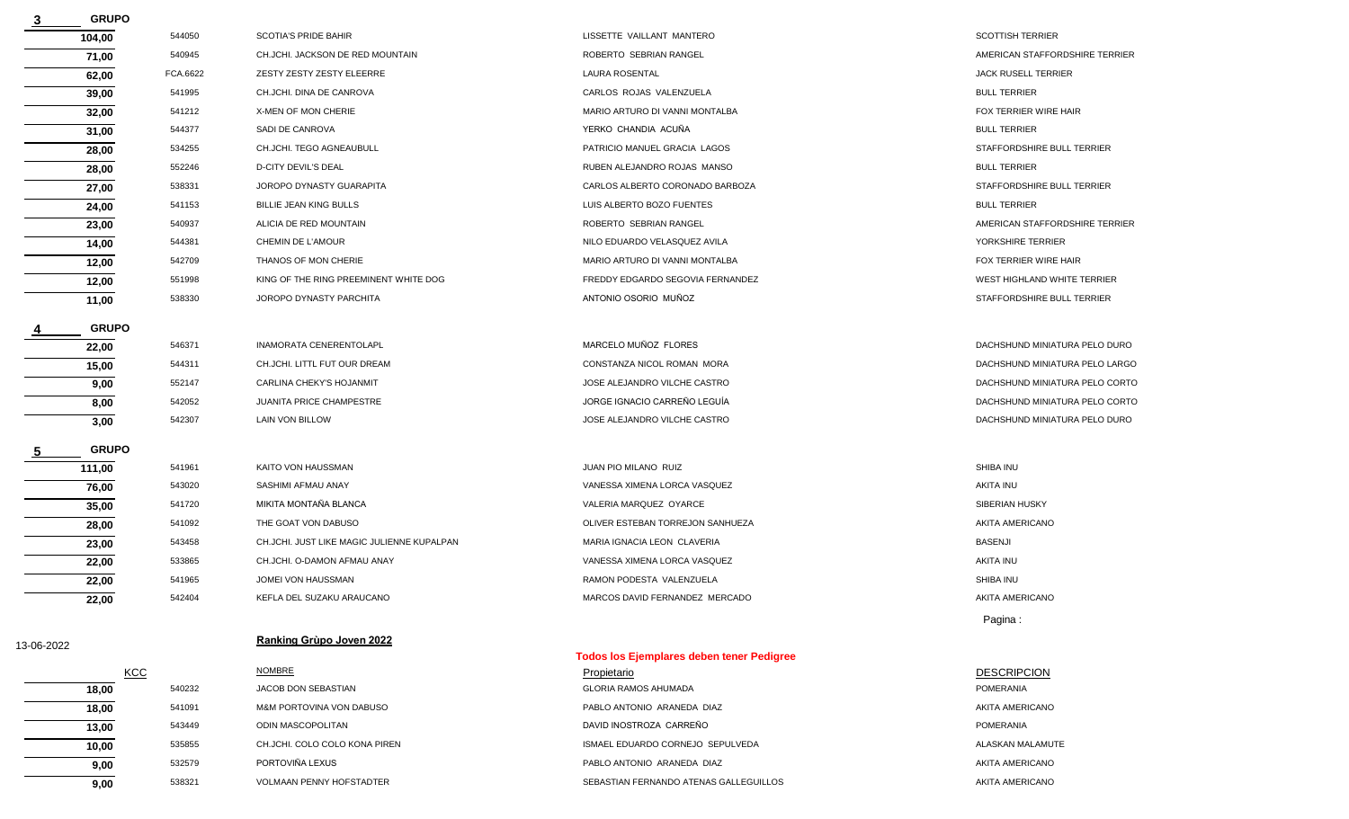|            | <b>GRUPO</b> |          |                                            |                                                  |                                |
|------------|--------------|----------|--------------------------------------------|--------------------------------------------------|--------------------------------|
|            | 104,00       | 544050   | <b>SCOTIA'S PRIDE BAHIR</b>                | LISSETTE VAILLANT MANTERO                        | <b>SCOTTISH TERRIER</b>        |
|            | 71,00        | 540945   | CH.JCHI. JACKSON DE RED MOUNTAIN           | ROBERTO SEBRIAN RANGEL                           | AMERICAN STAFFORDSHIRE TERRIER |
|            | 62,00        | FCA.6622 | ZESTY ZESTY ZESTY ELEERRE                  | <b>LAURA ROSENTAL</b>                            | <b>JACK RUSELL TERRIER</b>     |
|            | 39,00        | 541995   | CH.JCHI. DINA DE CANROVA                   | CARLOS ROJAS VALENZUELA                          | <b>BULL TERRIER</b>            |
|            | 32,00        | 541212   | X-MEN OF MON CHERIE                        | MARIO ARTURO DI VANNI MONTALBA                   | FOX TERRIER WIRE HAIR          |
|            | 31,00        | 544377   | SADI DE CANROVA                            | YERKO CHANDIA ACUÑA                              | <b>BULL TERRIER</b>            |
|            | 28,00        | 534255   | CH.JCHI. TEGO AGNEAUBULL                   | PATRICIO MANUEL GRACIA LAGOS                     | STAFFORDSHIRE BULL TERRIER     |
|            | 28,00        | 552246   | <b>D-CITY DEVIL'S DEAL</b>                 | RUBEN ALEJANDRO ROJAS MANSO                      | <b>BULL TERRIER</b>            |
|            | 27,00        | 538331   | JOROPO DYNASTY GUARAPITA                   | CARLOS ALBERTO CORONADO BARBOZA                  | STAFFORDSHIRE BULL TERRIER     |
|            | 24,00        | 541153   | <b>BILLIE JEAN KING BULLS</b>              | LUIS ALBERTO BOZO FUENTES                        | <b>BULL TERRIER</b>            |
|            | 23,00        | 540937   | ALICIA DE RED MOUNTAIN                     | ROBERTO SEBRIAN RANGEL                           | AMERICAN STAFFORDSHIRE TERRIER |
|            | 14,00        | 544381   | CHEMIN DE L'AMOUR                          | NILO EDUARDO VELASQUEZ AVILA                     | YORKSHIRE TERRIER              |
|            | 12,00        | 542709   | THANOS OF MON CHERIE                       | MARIO ARTURO DI VANNI MONTALBA                   | FOX TERRIER WIRE HAIR          |
|            | 12,00        | 551998   | KING OF THE RING PREEMINENT WHITE DOG      | FREDDY EDGARDO SEGOVIA FERNANDEZ                 | WEST HIGHLAND WHITE TERRIER    |
|            | 11,00        | 538330   | JOROPO DYNASTY PARCHITA                    | ANTONIO OSORIO MUÑOZ                             | STAFFORDSHIRE BULL TERRIER     |
|            | <b>GRUPO</b> |          |                                            |                                                  |                                |
|            | 22,00        | 546371   | INAMORATA CENERENTOLAPL                    | MARCELO MUÑOZ FLORES                             | DACHSHUND MINIATURA PELO DURO  |
|            | 15,00        | 544311   | CH.JCHI. LITTL FUT OUR DREAM               | CONSTANZA NICOL ROMAN MORA                       | DACHSHUND MINIATURA PELO LARGO |
|            | 9,00         | 552147   | CARLINA CHEKY'S HOJANMIT                   | JOSE ALEJANDRO VILCHE CASTRO                     | DACHSHUND MINIATURA PELO CORTO |
|            | 8,00         | 542052   | <b>JUANITA PRICE CHAMPESTRE</b>            | JORGE IGNACIO CARREÑO LEGUÍA                     | DACHSHUND MINIATURA PELO CORTO |
|            | 3,00         | 542307   | LAIN VON BILLOW                            | JOSE ALEJANDRO VILCHE CASTRO                     | DACHSHUND MINIATURA PELO DURO  |
|            | <b>GRUPO</b> |          |                                            |                                                  |                                |
|            | 111,00       | 541961   | KAITO VON HAUSSMAN                         | JUAN PIO MILANO RUIZ                             | SHIBA INU                      |
|            | 76,00        | 543020   | SASHIMI AFMAU ANAY                         | VANESSA XIMENA LORCA VASQUEZ                     | <b>AKITA INU</b>               |
|            | 35,00        | 541720   | MIKITA MONTAÑA BLANCA                      | VALERIA MARQUEZ OYARCE                           | SIBERIAN HUSKY                 |
|            | 28,00        | 541092   | THE GOAT VON DABUSO                        | OLIVER ESTEBAN TORREJON SANHUEZA                 | AKITA AMERICANO                |
|            | 23,00        | 543458   | CH.JCHI. JUST LIKE MAGIC JULIENNE KUPALPAN | MARIA IGNACIA LEON CLAVERIA                      | <b>BASENJI</b>                 |
|            | 22,00        | 533865   | CH.JCHI. O-DAMON AFMAU ANAY                | VANESSA XIMENA LORCA VASQUEZ                     | AKITA INU                      |
|            | 22,00        | 541965   | JOMEI VON HAUSSMAN                         | RAMON PODESTA VALENZUELA                         | SHIBA INU                      |
|            | 22,00        | 542404   | KEFLA DEL SUZAKU ARAUCANO                  | MARCOS DAVID FERNANDEZ MERCADO                   | AKITA AMERICANO                |
|            |              |          |                                            |                                                  | Pagina:                        |
| 13-06-2022 |              |          | Ranking Grùpo Joven 2022                   |                                                  |                                |
|            |              |          |                                            | <b>Todos los Ejemplares deben tener Pedigree</b> |                                |
|            | <b>KCC</b>   |          | <b>NOMBRE</b>                              | Propietario                                      | <b>DESCRIPCION</b>             |
|            | 18,00        | 540232   | JACOB DON SEBASTIAN                        | <b>GLORIA RAMOS AHUMADA</b>                      | <b>POMERANIA</b>               |
|            | 18,00        | 541091   | M&M PORTOVINA VON DABUSO                   | PABLO ANTONIO ARANEDA DIAZ                       | AKITA AMERICANO                |

**10,00** 535855 CH.JCHI. COLO COLO KONA PIREN SALASKAN MALAMUTE ISMAEL EDUARDO CORNEJO SEPULVEDA **9,00** 532579 PORTOVIÑA LEXUS **PORTOVIÑA LEXUS PABLO ANTONIO ARANEDA DIAZ** PABLO ANTONIO ARANEDA DIAZ **13,00** 543449 ODIN MASCOPOLITAN DAVID INOSTROZA CARREÑO POMERANIA

**9,00** 538321 VOLMAAN PENNY HOFSTADTER SEBASTIAN FERNANDO ATENAS GALLEGUILLOS AKITA AMERICANO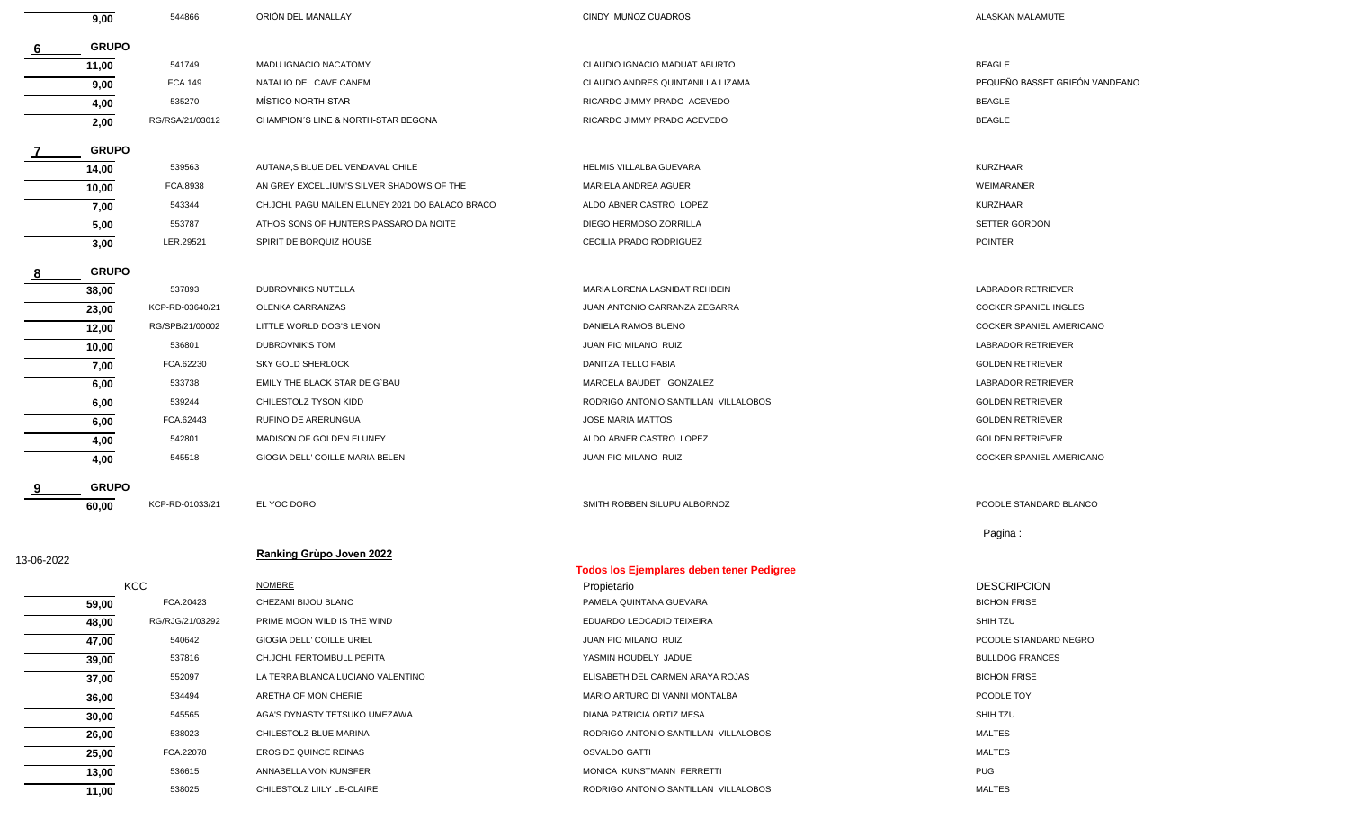|            | 9,00         | 544866          | ORIÓN DEL MANALLAY                               | CINDY MUNOZ CUADROS                              | ALASKAN MALAMUTE                |
|------------|--------------|-----------------|--------------------------------------------------|--------------------------------------------------|---------------------------------|
|            | <b>GRUPO</b> |                 |                                                  |                                                  |                                 |
|            | 11,00        | 541749          | MADU IGNACIO NACATOMY                            | CLAUDIO IGNACIO MADUAT ABURTO                    | <b>BEAGLE</b>                   |
|            | 9,00         | FCA.149         | NATALIO DEL CAVE CANEM                           | CLAUDIO ANDRES QUINTANILLA LIZAMA                | PEQUEÑO BASSET GRIFÓN VANDEANO  |
|            | 4,00         | 535270          | MÍSTICO NORTH-STAR                               | RICARDO JIMMY PRADO ACEVEDO                      | <b>BEAGLE</b>                   |
|            | 2,00         | RG/RSA/21/03012 | CHAMPION'S LINE & NORTH-STAR BEGONA              | RICARDO JIMMY PRADO ACEVEDO                      | <b>BEAGLE</b>                   |
|            | <b>GRUPO</b> |                 |                                                  |                                                  |                                 |
|            | 14,00        | 539563          | AUTANA, S BLUE DEL VENDAVAL CHILE                | HELMIS VILLALBA GUEVARA                          | <b>KURZHAAR</b>                 |
|            | 10,00        | FCA.8938        | AN GREY EXCELLIUM'S SILVER SHADOWS OF THE        | MARIELA ANDREA AGUER                             | WEIMARANER                      |
|            | 7,00         | 543344          | CH.JCHI. PAGU MAILEN ELUNEY 2021 DO BALACO BRACO | ALDO ABNER CASTRO LOPEZ                          | <b>KURZHAAR</b>                 |
|            | 5,00         | 553787          | ATHOS SONS OF HUNTERS PASSARO DA NOITE           | DIEGO HERMOSO ZORRILLA                           | SETTER GORDON                   |
|            | 3,00         | LER.29521       | SPIRIT DE BORQUIZ HOUSE                          | CECILIA PRADO RODRIGUEZ                          | <b>POINTER</b>                  |
|            | <b>GRUPO</b> |                 |                                                  |                                                  |                                 |
|            | 38,00        | 537893          | <b>DUBROVNIK'S NUTELLA</b>                       | MARIA LORENA LASNIBAT REHBEIN                    | <b>LABRADOR RETRIEVER</b>       |
|            | 23,00        | KCP-RD-03640/21 | OLENKA CARRANZAS                                 | JUAN ANTONIO CARRANZA ZEGARRA                    | <b>COCKER SPANIEL INGLES</b>    |
|            | 12,00        | RG/SPB/21/00002 | LITTLE WORLD DOG'S LENON                         | DANIELA RAMOS BUENO                              | <b>COCKER SPANIEL AMERICANO</b> |
|            | 10,00        | 536801          | DUBROVNIK'S TOM                                  | JUAN PIO MILANO RUIZ                             | LABRADOR RETRIEVER              |
|            | 7,00         | FCA.62230       | <b>SKY GOLD SHERLOCK</b>                         | DANITZA TELLO FABIA                              | <b>GOLDEN RETRIEVER</b>         |
|            | 6,00         | 533738          | EMILY THE BLACK STAR DE G'BAU                    | MARCELA BAUDET GONZALEZ                          | LABRADOR RETRIEVER              |
|            | 6,00         | 539244          | CHILESTOLZ TYSON KIDD                            | RODRIGO ANTONIO SANTILLAN VILLALOBOS             | <b>GOLDEN RETRIEVER</b>         |
|            | 6,00         | FCA.62443       | RUFINO DE ARERUNGUA                              | <b>JOSE MARIA MATTOS</b>                         | <b>GOLDEN RETRIEVER</b>         |
|            | 4,00         | 542801          | MADISON OF GOLDEN ELUNEY                         | ALDO ABNER CASTRO LOPEZ                          | <b>GOLDEN RETRIEVER</b>         |
|            | 4,00         | 545518          | GIOGIA DELL' COILLE MARIA BELEN                  | JUAN PIO MILANO RUIZ                             | COCKER SPANIEL AMERICANO        |
|            | <b>GRUPO</b> |                 |                                                  |                                                  |                                 |
|            | 60,00        | KCP-RD-01033/21 | EL YOC DORO                                      | SMITH ROBBEN SILUPU ALBORNOZ                     | POODLE STANDARD BLANCO          |
|            |              |                 |                                                  |                                                  | Pagina:                         |
| 13-06-2022 |              |                 | Ranking Grùpo Joven 2022                         | <b>Todos los Ejemplares deben tener Pedigree</b> |                                 |
|            |              | <b>KCC</b>      | <b>NOMBRE</b>                                    | <b>Propietario</b>                               | <b>DESCRIPCION</b>              |
|            | 59,00        | FCA.20423       | CHEZAMI BIJOU BLANC                              | PAMELA QUINTANA GUEVARA                          | <b>BICHON FRISE</b>             |
|            | 48,00        | RG/RJG/21/03292 | PRIME MOON WILD IS THE WIND                      | EDUARDO LEOCADIO TEIXEIRA                        | SHIH TZU                        |
|            | 47,00        | 540642          | GIOGIA DELL' COILLE URIEL                        | JUAN PIO MILANO RUIZ                             | POODLE STANDARD NEGRO           |
|            | 39,00        | 537816          | CH.JCHI. FERTOMBULL PEPITA                       | YASMIN HOUDELY JADUE                             | <b>BULLDOG FRANCES</b>          |
|            | 37,00        | 552097          | LA TERRA BLANCA LUCIANO VALENTINO                | ELISABETH DEL CARMEN ARAYA ROJAS                 | <b>BICHON FRISE</b>             |
|            | 36,00        | 534494          | ARETHA OF MON CHERIE                             | MARIO ARTURO DI VANNI MONTALBA                   | POODLE TOY                      |
|            | 30,00        | 545565          | AGA'S DYNASTY TETSUKO UMEZAWA                    | DIANA PATRICIA ORTIZ MESA                        | SHIH TZU                        |
|            | 26,00        | 538023          | CHILESTOLZ BLUE MARINA                           | RODRIGO ANTONIO SANTILLAN VILLALOBOS             | <b>MALTES</b>                   |
|            | 25,00        | FCA.22078       | EROS DE QUINCE REINAS                            | OSVALDO GATTI                                    | MALTES                          |
|            | 13,00        | 536615          | ANNABELLA VON KUNSFER                            | MONICA KUNSTMANN FERRETTI                        | <b>PUG</b>                      |
|            | 11,00        | 538025          | CHILESTOLZ LIILY LE-CLAIRE                       | RODRIGO ANTONIO SANTILLAN VILLALOBOS             | <b>MALTES</b>                   |